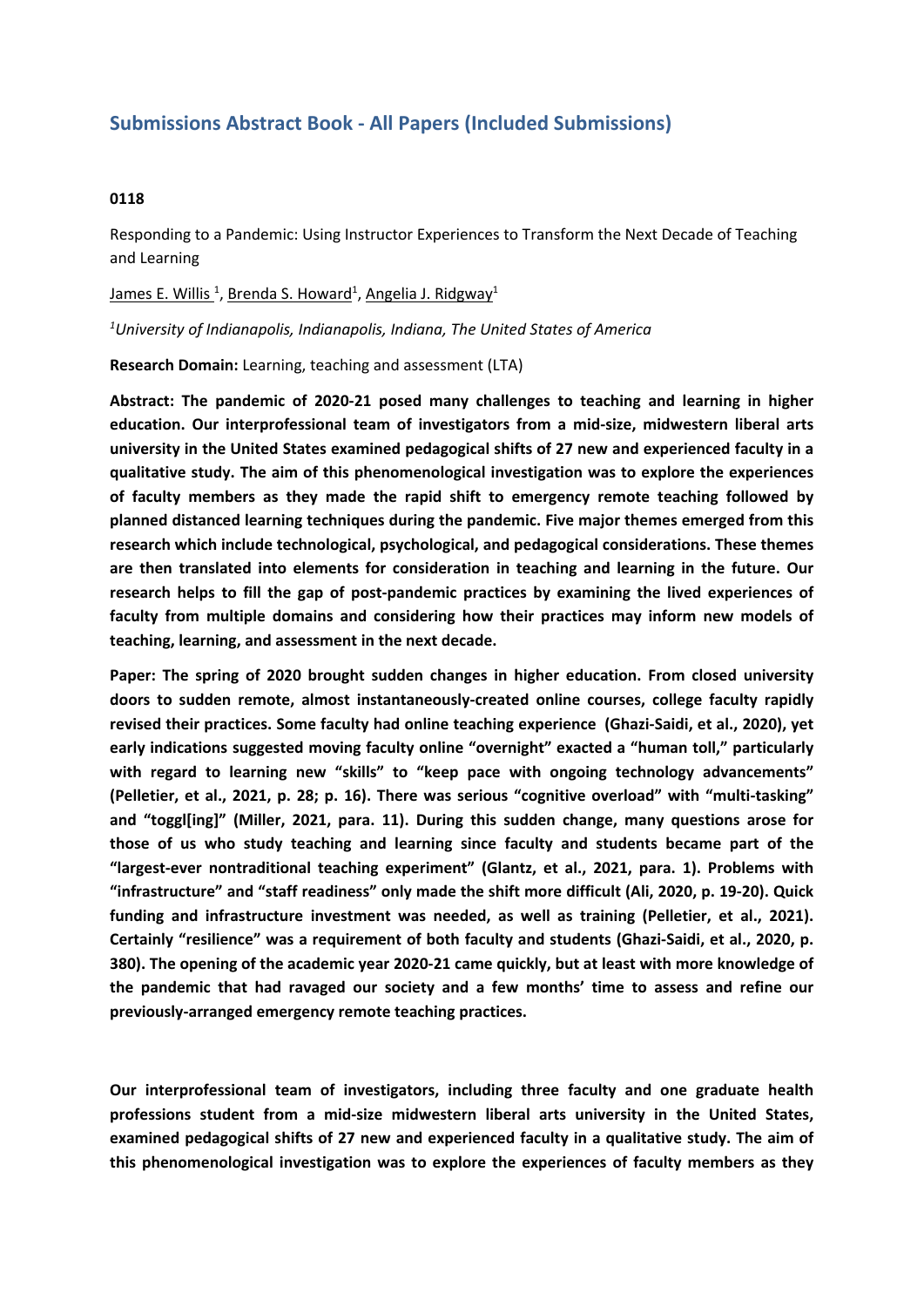## **Submissions Abstract Book - All Papers (Included Submissions)**

## **0118**

Responding to <sup>a</sup> Pandemic: Using Instructor Experiences to Transform the Next Decade of Teaching and Learning

## James E. Willis <sup>1</sup>, Brenda S. Howard<sup>1</sup>, Angelia J. Ridgway<sup>1</sup>

*1 University of Indianapolis, Indianapolis, Indiana, The United States of America*

**Research Domain:** Learning, teaching and assessment (LTA)

**Abstract: The pandemic of 2020-21 posed many challenges to teaching and learning in higher education. Our interprofessional team of investigators from <sup>a</sup> mid-size, midwestern liberal arts university in the United States examined pedagogical shifts of 27 new and experienced faculty in <sup>a</sup> qualitative study. The aim of this phenomenological investigation was to explore the experiences of faculty members as they made the rapid shift to emergency remote teaching followed by planned distanced learning techniques during the pandemic. Five major themes emerged from this research which include technological, psychological, and pedagogical considerations. These themes are then translated into elements for consideration in teaching and learning in the future. Our research helps to fill the gap of post-pandemic practices by examining the lived experiences of faculty from multiple domains and considering how their practices may inform new models of teaching, learning, and assessment in the next decade.**

**Paper: The spring of 2020 brought sudden changes in higher education. From closed university doors to sudden remote, almost instantaneously-created online courses, college faculty rapidly revised their practices. Some faculty had online teaching experience (Ghazi-Saidi, et al., 2020), yet early indications suggested moving faculty online "overnight" exacted <sup>a</sup> "human toll," particularly with regard to learning new "skills" to "keep pace with ongoing technology advancements" (Pelletier, et al., 2021, p. 28; p. 16). There was serious "cognitive overload" with "multi-tasking" and "toggl[ing]" (Miller, 2021, para. 11). During this sudden change, many questions arose for those of us who study teaching and learning since faculty and students became part of the "largest-ever nontraditional teaching experiment" (Glantz, et al., 2021, para. 1). Problems with "infrastructure" and "staff readiness" only made the shift more difficult (Ali, 2020, p. 19-20). Quick funding and infrastructure investment was needed, as well as training (Pelletier, et al., 2021). Certainly "resilience" was <sup>a</sup> requirement of both faculty and students (Ghazi-Saidi, et al., 2020, p. 380). The opening of the academic year 2020-21 came quickly, but at least with more knowledge of the pandemic that had ravaged our society and <sup>a</sup> few months' time to assess and refine our previously-arranged emergency remote teaching practices.** 

**Our interprofessional team of investigators, including three faculty and one graduate health professions student from <sup>a</sup> mid-size midwestern liberal arts university in the United States, examined pedagogical shifts of 27 new and experienced faculty in <sup>a</sup> qualitative study. The aim of this phenomenological investigation was to explore the experiences of faculty members as they**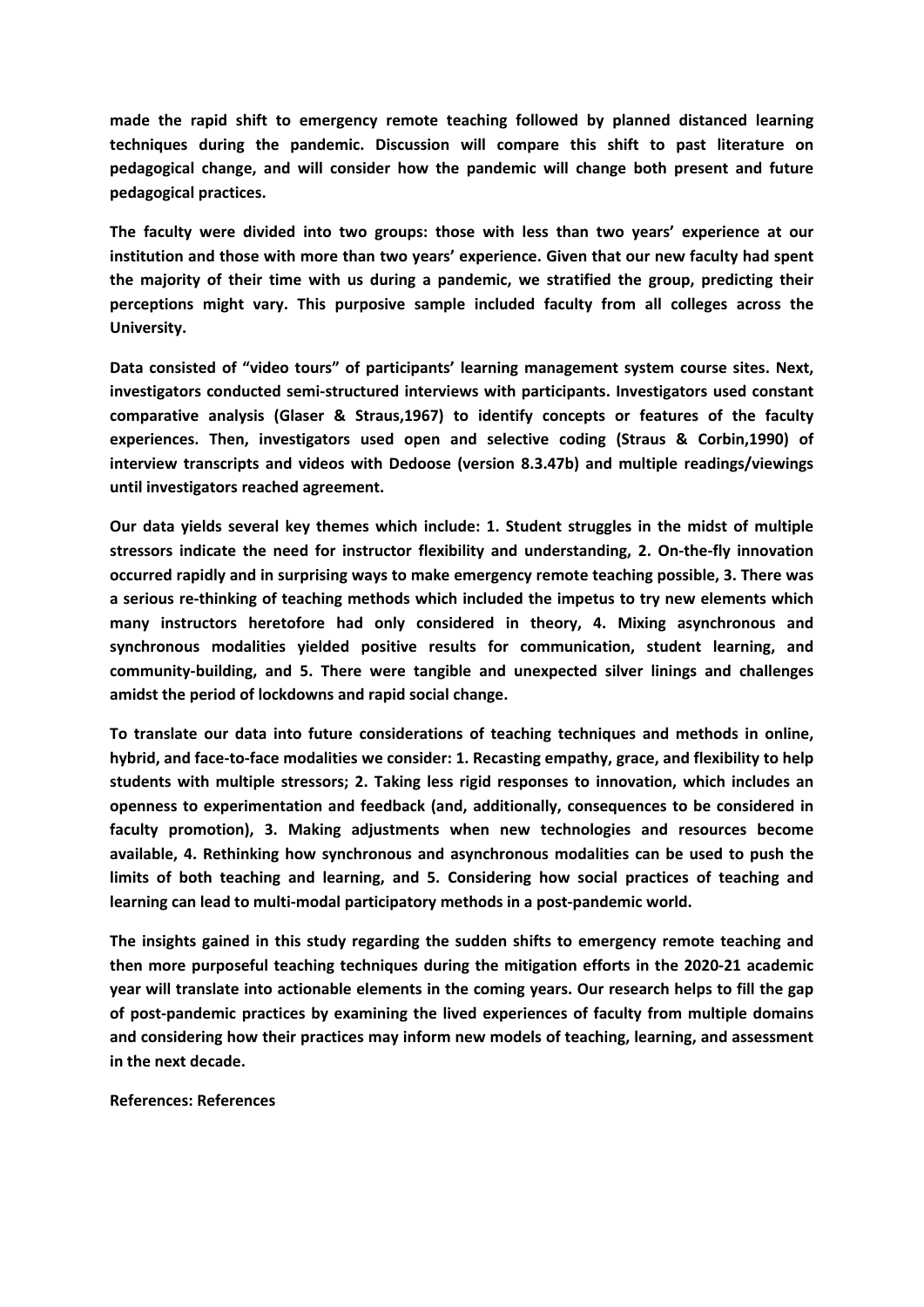**made the rapid shift to emergency remote teaching followed by planned distanced learning techniques during the pandemic. Discussion will compare this shift to past literature on pedagogical change, and will consider how the pandemic will change both present and future pedagogical practices.**

**The faculty were divided into two groups: those with less than two years' experience at our institution and those with more than two years' experience. Given that our new faculty had spent the majority of their time with us during <sup>a</sup> pandemic, we stratified the group, predicting their perceptions might vary. This purposive sample included faculty from all colleges across the University.**

**Data consisted of "video tours" of participants' learning management system course sites. Next, investigators conducted semi-structured interviews with participants. Investigators used constant comparative analysis (Glaser & Straus,1967) to identify concepts or features of the faculty experiences. Then, investigators used open and selective coding (Straus & Corbin,1990) of interview transcripts and videos with Dedoose (version 8.3.47b) and multiple readings/viewings until investigators reached agreement.** 

**Our data yields several key themes which include: 1. Student struggles in the midst of multiple stressors indicate the need for instructor flexibility and understanding, 2. On-the-fly innovation occurred rapidly and in surprising ways to make emergency remote teaching possible, 3. There was <sup>a</sup> serious re-thinking of teaching methods which included the impetus to try new elements which many instructors heretofore had only considered in theory, 4. Mixing asynchronous and synchronous modalities yielded positive results for communication, student learning, and community-building, and 5. There were tangible and unexpected silver linings and challenges amidst the period of lockdowns and rapid social change.** 

**To translate our data into future considerations of teaching techniques and methods in online, hybrid, and face-to-face modalities we consider: 1. Recasting empathy, grace, and flexibility to help students with multiple stressors; 2. Taking less rigid responses to innovation, which includes an openness to experimentation and feedback (and, additionally, consequences to be considered in faculty promotion), 3. Making adjustments when new technologies and resources become available, 4. Rethinking how synchronous and asynchronous modalities can be used to push the limits of both teaching and learning, and 5. Considering how social practices of teaching and learning can lead to multi-modal participatory methods in <sup>a</sup> post-pandemic world.** 

**The insights gained in this study regarding the sudden shifts to emergency remote teaching and then more purposeful teaching techniques during the mitigation efforts in the 2020-21 academic year will translate into actionable elements in the coming years. Our research helps to fill the gap of post-pandemic practices by examining the lived experiences of faculty from multiple domains and considering how their practices may inform new models of teaching, learning, and assessment in the next decade.** 

## **References: References**